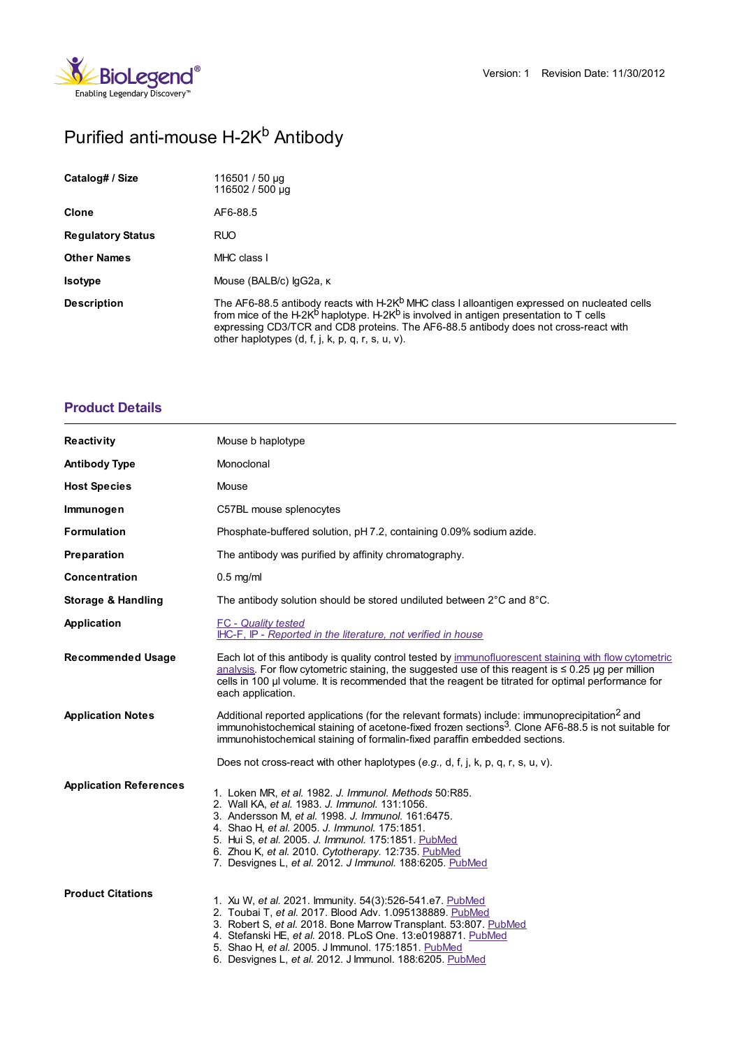

# Purified anti-mouse H-2K<sup>b</sup> Antibody

| Catalog# / Size          | 116501 / 50 µg<br>116502 / 500 µg                                                                                                                                                                                                                                                                                                                                         |
|--------------------------|---------------------------------------------------------------------------------------------------------------------------------------------------------------------------------------------------------------------------------------------------------------------------------------------------------------------------------------------------------------------------|
| Clone                    | AF6-88.5                                                                                                                                                                                                                                                                                                                                                                  |
| <b>Regulatory Status</b> | <b>RUO</b>                                                                                                                                                                                                                                                                                                                                                                |
| <b>Other Names</b>       | MHC class I                                                                                                                                                                                                                                                                                                                                                               |
| <b>Isotype</b>           | Mouse (BALB/c) lqG2a, к                                                                                                                                                                                                                                                                                                                                                   |
| <b>Description</b>       | The AF6-88.5 antibody reacts with H-2K <sup>b</sup> MHC class I alloantigen expressed on nucleated cells<br>from mice of the H-2K <sup>b</sup> haplotype. H-2K <sup>b</sup> is involved in antigen presentation to T cells<br>expressing CD3/TCR and CD8 proteins. The AF6-88.5 antibody does not cross-react with<br>other haplotypes $(d, f, j, k, p, q, r, s, u, v)$ . |

## **[Product](https://www.biolegend.com/fr-lu/products/purified-anti-mouse-h-2kb-antibody-1750?pdf=true&displayInline=true&leftRightMargin=15&topBottomMargin=15&filename=Purified anti-mouse H-2K%3CSUP%3Eb%3C/SUP%3E Antibody.pdf#productDetails) Details**

| <b>Reactivity</b>             | Mouse b haplotype                                                                                                                                                                                                                                                                                                                                                                                                                                                            |
|-------------------------------|------------------------------------------------------------------------------------------------------------------------------------------------------------------------------------------------------------------------------------------------------------------------------------------------------------------------------------------------------------------------------------------------------------------------------------------------------------------------------|
| <b>Antibody Type</b>          | Monoclonal                                                                                                                                                                                                                                                                                                                                                                                                                                                                   |
| <b>Host Species</b>           | Mouse                                                                                                                                                                                                                                                                                                                                                                                                                                                                        |
| Immunogen                     | C57BL mouse splenocytes                                                                                                                                                                                                                                                                                                                                                                                                                                                      |
| <b>Formulation</b>            | Phosphate-buffered solution, pH 7.2, containing 0.09% sodium azide.                                                                                                                                                                                                                                                                                                                                                                                                          |
| Preparation                   | The antibody was purified by affinity chromatography.                                                                                                                                                                                                                                                                                                                                                                                                                        |
| <b>Concentration</b>          | $0.5$ mg/ml                                                                                                                                                                                                                                                                                                                                                                                                                                                                  |
| <b>Storage &amp; Handling</b> | The antibody solution should be stored undiluted between 2°C and 8°C.                                                                                                                                                                                                                                                                                                                                                                                                        |
| Application                   | FC - Quality tested<br>IHC-F, IP - Reported in the literature, not verified in house                                                                                                                                                                                                                                                                                                                                                                                         |
| <b>Recommended Usage</b>      | Each lot of this antibody is quality control tested by immunofluorescent staining with flow cytometric<br>analysis. For flow cytometric staining, the suggested use of this reagent is $\leq 0.25$ µg per million<br>cells in 100 µl volume. It is recommended that the reagent be titrated for optimal performance for<br>each application.                                                                                                                                 |
| <b>Application Notes</b>      | Additional reported applications (for the relevant formats) include: immunoprecipitation <sup>2</sup> and<br>immunohistochemical staining of acetone-fixed frozen sections <sup>3</sup> . Clone AF6-88.5 is not suitable for<br>immunohistochemical staining of formalin-fixed paraffin embedded sections.                                                                                                                                                                   |
| <b>Application References</b> | Does not cross-react with other haplotypes (e.g., d, f, j, k, p, q, r, s, u, v).<br>1. Loken MR, et al. 1982. J. Immunol. Methods 50:R85.<br>2. Wall KA, et al. 1983. J. Immunol. 131:1056.<br>3. Andersson M, et al. 1998. J. Immunol. 161:6475.<br>4. Shao H, et al. 2005. J. Immunol. 175:1851.<br>5. Hui S, et al. 2005. J. Immunol. 175:1851. PubMed<br>6. Zhou K, et al. 2010. Cytotherapy. 12:735. PubMed<br>7. Desvignes L, et al. 2012. J Immunol. 188:6205. PubMed |
| <b>Product Citations</b>      | 1. Xu W, et al. 2021. Immunity. 54(3):526-541.e7. PubMed<br>2. Toubai T, et al. 2017. Blood Adv. 1.095138889. PubMed<br>3. Robert S, et al. 2018. Bone Marrow Transplant. 53:807. PubMed<br>4. Stefanski HE, et al. 2018. PLoS One. 13:e0198871. PubMed<br>5. Shao H, et al. 2005. J Immunol. 175:1851. PubMed<br>6. Desvignes L, et al. 2012. J Immunol. 188:6205. PubMed                                                                                                   |